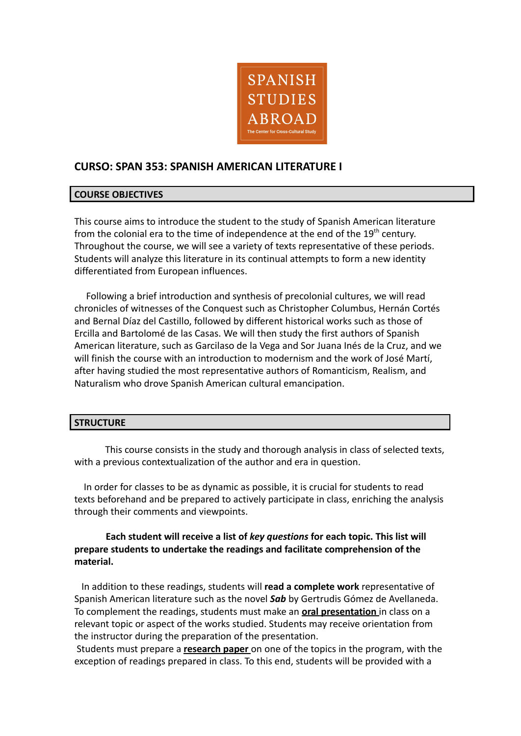

# **CURSO: SPAN 353: SPANISH AMERICAN LITERATURE I**

## **COURSE OBJECTIVES**

This course aims to introduce the student to the study of Spanish American literature from the colonial era to the time of independence at the end of the  $19<sup>th</sup>$  century. Throughout the course, we will see a variety of texts representative of these periods. Students will analyze this literature in its continual attempts to form a new identity differentiated from European influences.

Following a brief introduction and synthesis of precolonial cultures, we will read chronicles of witnesses of the Conquest such as Christopher Columbus, Hernán Cortés and Bernal Díaz del Castillo, followed by different historical works such as those of Ercilla and Bartolomé de las Casas. We will then study the first authors of Spanish American literature, such as Garcilaso de la Vega and Sor Juana Inés de la Cruz, and we will finish the course with an introduction to modernism and the work of José Martí, after having studied the most representative authors of Romanticism, Realism, and Naturalism who drove Spanish American cultural emancipation.

### **STRUCTURE**

This course consists in the study and thorough analysis in class of selected texts, with a previous contextualization of the author and era in question.

In order for classes to be as dynamic as possible, it is crucial for students to read texts beforehand and be prepared to actively participate in class, enriching the analysis through their comments and viewpoints.

## **Each student will receive a list of** *key questions* **for each topic. This list will prepare students to undertake the readings and facilitate comprehension of the material.**

In addition to these readings, students will **read a complete work** representative of Spanish American literature such as the novel *Sab* by Gertrudis Gómez de Avellaneda. To complement the readings, students must make an **oral presentation** in class on a relevant topic or aspect of the works studied. Students may receive orientation from the instructor during the preparation of the presentation.

Students must prepare a **research paper** on one of the topics in the program, with the exception of readings prepared in class. To this end, students will be provided with a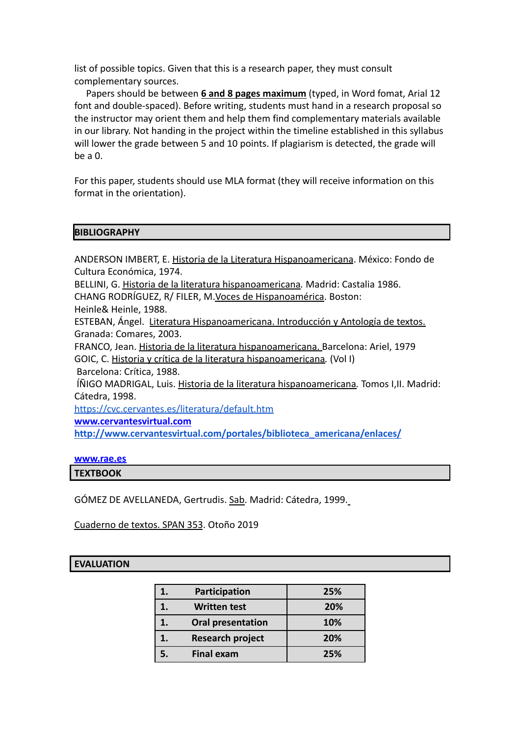list of possible topics. Given that this is a research paper, they must consult complementary sources.

Papers should be between **6 and 8 pages maximum** (typed, in Word fomat, Arial 12 font and double-spaced). Before writing, students must hand in a research proposal so the instructor may orient them and help them find complementary materials available in our library. Not handing in the project within the timeline established in this syllabus will lower the grade between 5 and 10 points. If plagiarism is detected, the grade will be a 0.

For this paper, students should use MLA format (they will receive information on this format in the orientation).

### **BIBLIOGRAPHY**

ANDERSON IMBERT, E. Historia de la Literatura Hispanoamericana. México: Fondo de Cultura Económica, 1974.

BELLINI, G. Historia de la literatura hispanoamericana*.* Madrid: Castalia 1986.

CHANG RODRÍGUEZ, R/ FILER, M.Voces de Hispanoamérica. Boston:

Heinle& Heinle, 1988.

ESTEBAN, Ángel. Literatura Hispanoamericana. Introducción y Antología de textos. Granada: Comares, 2003.

FRANCO, Jean. Historia de la literatura hispanoamericana. Barcelona: Ariel, 1979 GOIC, C. Historia y crítica de la literatura hispanoamericana*.* (Vol I)

Barcelona: Crítica, 1988.

ÍÑIGO MADRIGAL, Luis. Historia de la literatura hispanoamericana*.* Tomos I,II. Madrid: Cátedra, 1998.

<https://cvc.cervantes.es/literatura/default.htm>

**[www.cervantesvirtual.com](http://www.cervantesvirtual.com)**

**[http://www.cervantesvirtual.com/portales/biblioteca\\_americana/enlaces/](http://www.cervantesvirtual.com/portales/biblioteca_americana/enlaces/)**

#### **[www.rae.es](http://www.rae.es)**

**TEXTBOOK**

GÓMEZ DE AVELLANEDA, Gertrudis. Sab. Madrid: Cátedra, 1999.

Cuaderno de textos. SPAN 353. Otoño 2019

### **EVALUATION**

| Participation            | 25% |
|--------------------------|-----|
| <b>Written test</b>      | 20% |
| <b>Oral presentation</b> | 10% |
| <b>Research project</b>  | 20% |
| <b>Final exam</b>        | 25% |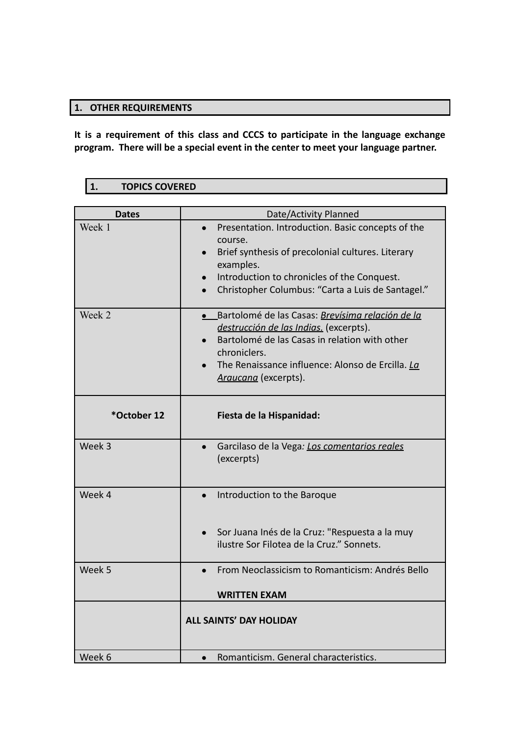# **1. OTHER REQUIREMENTS**

**It is a requirement of this class and CCCS to participate in the language exchange program. There will be a special event in the center to meet your language partner.**

# **1. TOPICS COVERED**

| <b>Dates</b> | Date/Activity Planned                                                                                                                                                                                                                   |
|--------------|-----------------------------------------------------------------------------------------------------------------------------------------------------------------------------------------------------------------------------------------|
| Week 1       | Presentation. Introduction. Basic concepts of the<br>course.<br>Brief synthesis of precolonial cultures. Literary<br>examples.<br>Introduction to chronicles of the Conquest.<br>Christopher Columbus: "Carta a Luis de Santagel."      |
| Week 2       | Bartolomé de las Casas: Brevísima relación de la<br>destrucción de las Indias. (excerpts).<br>Bartolomé de las Casas in relation with other<br>chroniclers.<br>The Renaissance influence: Alonso de Ercilla. La<br>Araucana (excerpts). |
| *October 12  | Fiesta de la Hispanidad:                                                                                                                                                                                                                |
| Week 3       | Garcilaso de la Vega: Los comentarios reales<br>(excerpts)                                                                                                                                                                              |
| Week 4       | Introduction to the Baroque<br>Sor Juana Inés de la Cruz: "Respuesta a la muy<br>ilustre Sor Filotea de la Cruz." Sonnets.                                                                                                              |
| Week 5       | From Neoclassicism to Romanticism: Andrés Bello<br><b>WRITTEN EXAM</b>                                                                                                                                                                  |
|              | <b>ALL SAINTS' DAY HOLIDAY</b>                                                                                                                                                                                                          |
| Week 6       | Romanticism. General characteristics.                                                                                                                                                                                                   |